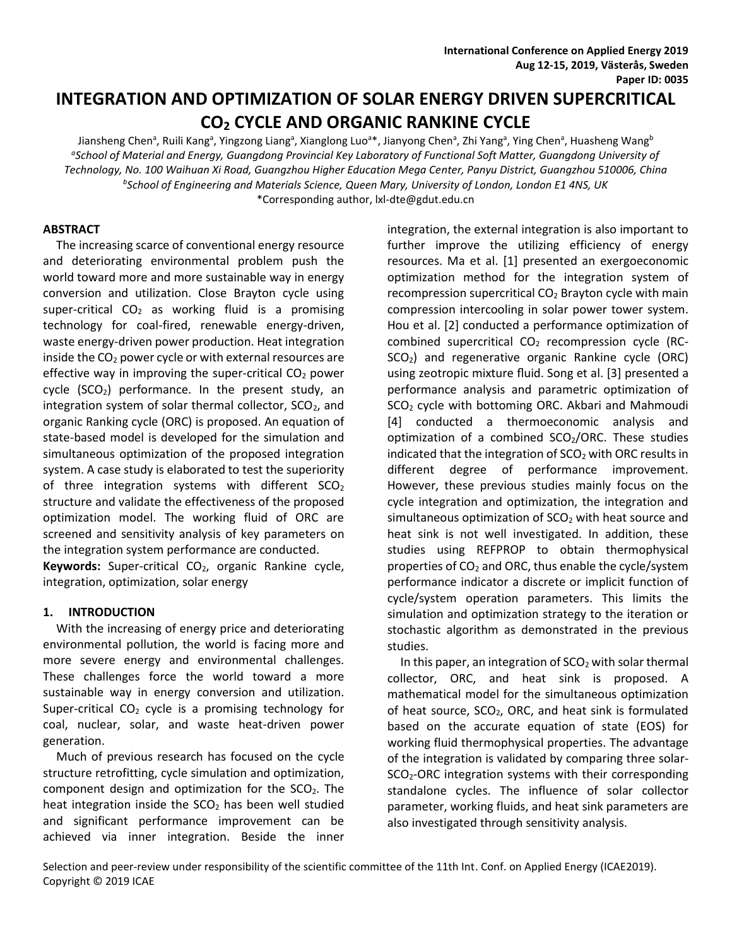# **INTEGRATION AND OPTIMIZATION OF SOLAR ENERGY DRIVEN SUPERCRITICAL CO<sup>2</sup> CYCLE AND ORGANIC RANKINE CYCLE**

Jiansheng Chen<sup>a</sup>, Ruili Kang<sup>a</sup>, Yingzong Liang<sup>a</sup>, Xianglong Luo<sup>a</sup>\*, Jianyong Chen<sup>a</sup>, Zhi Yang<sup>a</sup>, Ying Chen<sup>a</sup>, Huasheng Wang<sup>b</sup> <sup>a</sup>School of Material and Energy, Guangdong Provincial Key Laboratory of Functional Soft Matter, Guangdong University of *Technology, No. 100 Waihuan Xi Road, Guangzhou Higher Education Mega Center, Panyu District, Guangzhou 510006, China b School of Engineering and Materials Science, Queen Mary, University of London, London E1 4NS, UK* \*Corresponding author, lxl-dte@gdut.edu.cn

## **ABSTRACT**

The increasing scarce of conventional energy resource and deteriorating environmental problem push the world toward more and more sustainable way in energy conversion and utilization. Close Brayton cycle using super-critical  $CO<sub>2</sub>$  as working fluid is a promising technology for coal-fired, renewable energy-driven, waste energy-driven power production. Heat integration inside the  $CO<sub>2</sub>$  power cycle or with external resources are effective way in improving the super-critical  $CO<sub>2</sub>$  power cycle  $(SCO<sub>2</sub>)$  performance. In the present study, an integration system of solar thermal collector,  $SCO<sub>2</sub>$ , and organic Ranking cycle (ORC) is proposed. An equation of state-based model is developed for the simulation and simultaneous optimization of the proposed integration system. A case study is elaborated to test the superiority of three integration systems with different  $SCO<sub>2</sub>$ structure and validate the effectiveness of the proposed optimization model. The working fluid of ORC are screened and sensitivity analysis of key parameters on the integration system performance are conducted. Keywords: Super-critical CO<sub>2</sub>, organic Rankine cycle, integration, optimization, solar energy

# **1. INTRODUCTION**

With the increasing of energy price and deteriorating environmental pollution, the world is facing more and more severe energy and environmental challenges. These challenges force the world toward a more sustainable way in energy conversion and utilization. Super-critical  $CO<sub>2</sub>$  cycle is a promising technology for coal, nuclear, solar, and waste heat-driven power generation.

Much of previous research has focused on the cycle structure retrofitting, cycle simulation and optimization, component design and optimization for the  $SCO<sub>2</sub>$ . The heat integration inside the  $SCO<sub>2</sub>$  has been well studied and significant performance improvement can be achieved via inner integration. Beside the inner

integration, the external integration is also important to further improve the utilizing efficiency of energy resources. Ma et al. [1] presented an exergoeconomic optimization method for the integration system of recompression supercritical  $CO<sub>2</sub>$  Brayton cycle with main compression intercooling in solar power tower system. Hou et al. [2] conducted a performance optimization of combined supercritical CO<sub>2</sub> recompression cycle (RC-SCO2) and regenerative organic Rankine cycle (ORC) using zeotropic mixture fluid. Song et al. [3] presented a performance analysis and parametric optimization of SCO<sub>2</sub> cycle with bottoming ORC. Akbari and Mahmoudi [4] conducted a thermoeconomic analysis and optimization of a combined  $SCO<sub>2</sub>/ORC$ . These studies indicated that the integration of  $SCO<sub>2</sub>$  with ORC results in different degree of performance improvement. However, these previous studies mainly focus on the cycle integration and optimization, the integration and simultaneous optimization of  $SCO<sub>2</sub>$  with heat source and heat sink is not well investigated. In addition, these studies using REFPROP to obtain thermophysical properties of  $CO<sub>2</sub>$  and ORC, thus enable the cycle/system performance indicator a discrete or implicit function of cycle/system operation parameters. This limits the simulation and optimization strategy to the iteration or stochastic algorithm as demonstrated in the previous studies.

In this paper, an integration of  $SCO<sub>2</sub>$  with solar thermal collector, ORC, and heat sink is proposed. A mathematical model for the simultaneous optimization of heat source,  $SCO<sub>2</sub>$ , ORC, and heat sink is formulated based on the accurate equation of state (EOS) for working fluid thermophysical properties. The advantage of the integration is validated by comparing three solar-SCO<sub>2</sub>-ORC integration systems with their corresponding standalone cycles. The influence of solar collector parameter, working fluids, and heat sink parameters are also investigated through sensitivity analysis.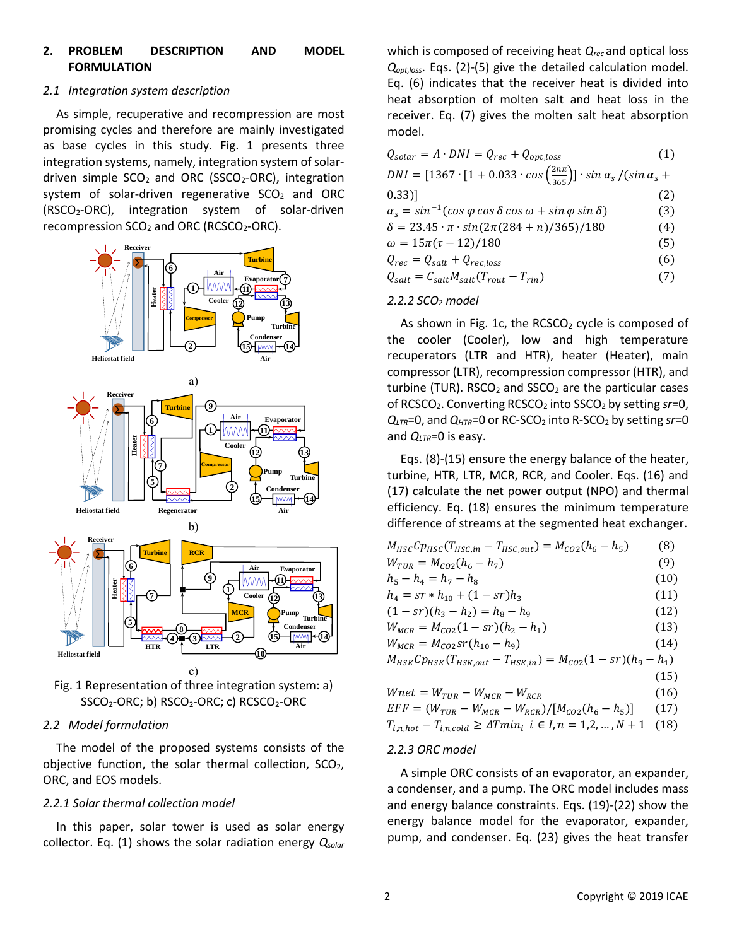# **2. PROBLEM DESCRIPTION AND MODEL FORMULATION**

## *2.1 Integration system description*

As simple, recuperative and recompression are most promising cycles and therefore are mainly investigated as base cycles in this study. Fig. 1 presents three integration systems, namely, integration system of solardriven simple  $SCO<sub>2</sub>$  and ORC (SSCO<sub>2</sub>-ORC), integration system of solar-driven regenerative  $SCO<sub>2</sub>$  and ORC (RSCO2-ORC), integration system of solar-driven recompression SCO<sub>2</sub> and ORC (RCSCO<sub>2</sub>-ORC).





#### *2.2 Model formulation*

The model of the proposed systems consists of the objective function, the solar thermal collection,  $SCO<sub>2</sub>$ , ORC, and EOS models.

# *2.2.1 Solar thermal collection model*

In this paper, solar tower is used as solar energy collector. Eq. (1) shows the solar radiation energy *Qsolar* which is composed of receiving heat *Qrec* and optical loss *Qopt,loss*. Eqs. (2)-(5) give the detailed calculation model. Eq. (6) indicates that the receiver heat is divided into heat absorption of molten salt and heat loss in the receiver. Eq. (7) gives the molten salt heat absorption model.

| $Q_{solar} = A \cdot DNI = Q_{rec} + Q_{opt,loss}$                                                | (1) |
|---------------------------------------------------------------------------------------------------|-----|
| $DNI = [1367 \cdot [1 + 0.033 \cdot cos(\frac{2n\pi}{365})] \cdot sin \alpha_s / (sin \alpha_s +$ |     |
| $(0.33)$ ]                                                                                        | (2) |
| $\alpha_s = \sin^{-1}(\cos \varphi \cos \delta \cos \omega + \sin \varphi \sin \delta)$           | (3) |
| $\delta = 23.45 \cdot \pi \cdot \sin(2\pi(284 + n)/365)/180$                                      | (4) |
| $\omega = 15\pi(\tau - 12)/180$                                                                   | (5) |
| $Q_{rec} = Q_{salt} + Q_{rec,loss}$                                                               | (6) |
| $Q_{salt} = C_{salt}M_{salt}(T_{rout} - T_{rin})$                                                 | (7) |

#### *2.2.2 SCO<sup>2</sup> model*

As shown in Fig. 1c, the  $RCSCO<sub>2</sub>$  cycle is composed of the cooler (Cooler), low and high temperature recuperators (LTR and HTR), heater (Heater), main compressor (LTR), recompression compressor (HTR), and turbine (TUR). RSCO<sub>2</sub> and SSCO<sub>2</sub> are the particular cases of RCSCO2. Converting RCSCO<sup>2</sup> into SSCO<sup>2</sup> by setting *sr*=0,  $Q_{LTR}$ =0, and  $Q_{HTR}$ =0 or RC-SCO<sub>2</sub> into R-SCO<sub>2</sub> by setting *sr*=0 and *QLTR*=0 is easy.

Eqs. (8)-(15) ensure the energy balance of the heater, turbine, HTR, LTR, MCR, RCR, and Cooler. Eqs. (16) and (17) calculate the net power output (NPO) and thermal efficiency. Eq. (18) ensures the minimum temperature difference of streams at the segmented heat exchanger.

| $M_{HSC}Cp_{HSC}(T_{HSC,in}-T_{HSC,out}) = M_{CO2}(h_6-h_5)$             | (8)  |
|--------------------------------------------------------------------------|------|
| $W_{TUR} = M_{CO2}(h_6 - h_7)$                                           | (9)  |
| $h_5 - h_4 = h_7 - h_8$                                                  | (10) |
| $h_4 = sr * h_{10} + (1 - sr)h_3$                                        | (11) |
| $(1 - sr)(h_3 - h_2) = h_8 - h_9$                                        | (12) |
| $W_{MCR} = M_{CO2}(1 - sr)(h_2 - h_1)$                                   | (13) |
| $W_{MCR} = M_{CO2}sr(h_{10} - h_9)$                                      | (14) |
| $M_{HSK}Cp_{HSK}(T_{HSK,out}-T_{HSK,in})=M_{CO2}(1-sr)(h_9-h_1)$         |      |
|                                                                          | (15) |
| $Wnet = W_{TUR} - W_{MCR} - W_{RCR}$                                     | (16) |
| $EFF = (W_{TUR} - W_{MCR} - W_{RCR}) / [M_{CO2}(h_6 - h_5)]$             | (17) |
| $T_{i,n,hot} - T_{i,n,cold} \geq \Delta T min_i$ $i \in I, n = 1,2,,N+1$ | (18) |

# *2.2.3 ORC model*

A simple ORC consists of an evaporator, an expander, a condenser, and a pump. The ORC model includes mass and energy balance constraints. Eqs. (19)-(22) show the energy balance model for the evaporator, expander, pump, and condenser. Eq. (23) gives the heat transfer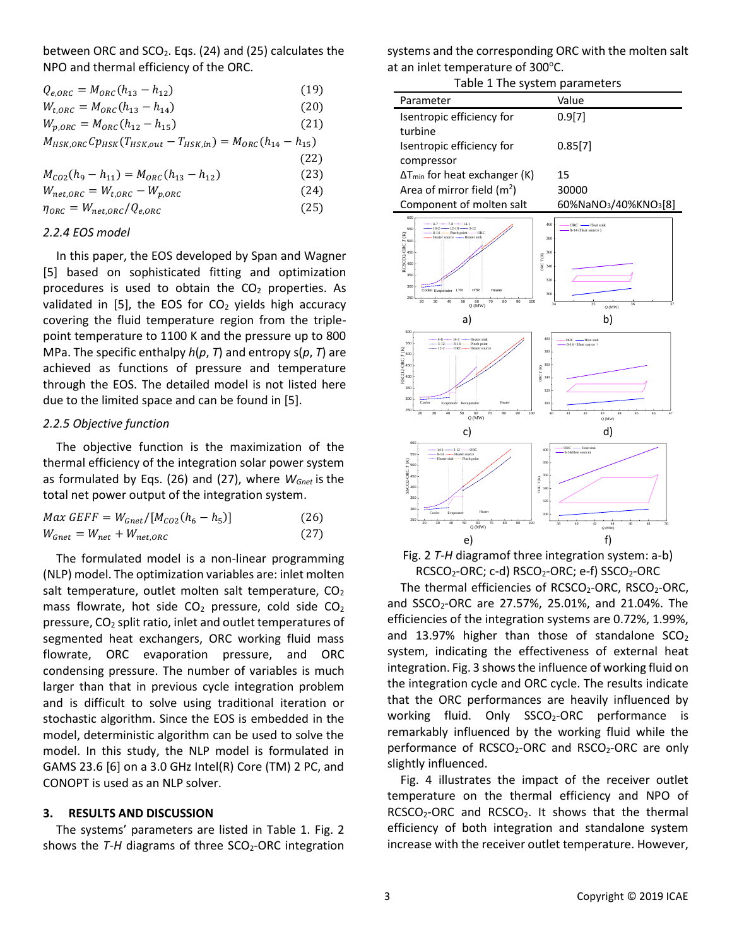between ORC and  $SCO<sub>2</sub>$ . Eqs. (24) and (25) calculates the NPO and thermal efficiency of the ORC.

- $Q_{e,ORC} = M_{ORC} (h_{13} h_{12})$  (19)
- $W_{t,ORC} = M_{ORC} (h_{13} h_{14})$  (20)
- $W_{p,ORC} = M_{ORC}(h_{12} h_{15})$  (21)
- $M_{HSK,ORC}Cp_{HSK}(T_{HSK,out}-T_{HSK,in}) = M_{ORC}(h_{14}-h_{15})$
- (22)  $M_{CO2}(h_9 - h_{11}) = M_{ORC}(h_{13} - h_{12})$  (23)

 $W_{net,ORC} = W_{t,ORC} - W_{p,ORC}$  (24)

 $\eta_{ORC} = W_{net,ORC}/Q_{e,ORC}$  (25)

#### *2.2.4 EOS model*

In this paper, the EOS developed by Span and Wagner [5] based on sophisticated fitting and optimization procedures is used to obtain the  $CO<sub>2</sub>$  properties. As validated in [5], the EOS for  $CO<sub>2</sub>$  yields high accuracy covering the fluid temperature region from the triplepoint temperature to 1100 K and the pressure up to 800 MPa. The specific enthalpy *h*(*p*, *T*) and entropy s(*p*, *T*) are achieved as functions of pressure and temperature through the EOS. The detailed model is not listed here due to the limited space and can be found in [5].

#### *2.2.5 Objective function*

The objective function is the maximization of the thermal efficiency of the integration solar power system as formulated by Eqs. (26) and (27), where *WGnet* is the total net power output of the integration system.

| $Max GEFF = W_{Gnet}/[M_{CO2}(h_6 - h_5)]$              | (26) |
|---------------------------------------------------------|------|
| $W_{\text{Gnet}} = W_{\text{net}} + W_{\text{net,ORC}}$ | (27) |

The formulated model is a non-linear programming (NLP) model. The optimization variables are: inlet molten salt temperature, outlet molten salt temperature,  $CO<sub>2</sub>$ mass flowrate, hot side  $CO<sub>2</sub>$  pressure, cold side  $CO<sub>2</sub>$ pressure, CO<sup>2</sup> split ratio, inlet and outlet temperatures of segmented heat exchangers, ORC working fluid mass flowrate, ORC evaporation pressure, and ORC condensing pressure. The number of variables is much larger than that in previous cycle integration problem and is difficult to solve using traditional iteration or stochastic algorithm. Since the EOS is embedded in the model, deterministic algorithm can be used to solve the model. In this study, the NLP model is formulated in GAMS 23.6 [6] on a 3.0 GHz Intel(R) Core (TM) 2 PC, and CONOPT is used as an NLP solver.

#### **3. RESULTS AND DISCUSSION**

The systems' parameters are listed in Table 1. Fig. 2 shows the *T-H* diagrams of three SCO<sub>2</sub>-ORC integration systems and the corresponding ORC with the molten salt at an inlet temperature of 300°C.

| $\frac{1}{2}$                           |                                               |  |
|-----------------------------------------|-----------------------------------------------|--|
| Table 1 The system parameters           |                                               |  |
| Parameter                               | Value                                         |  |
| Isentropic efficiency for               | 0.9[7]                                        |  |
| turbine                                 |                                               |  |
| Isentropic efficiency for               | 0.85[7]                                       |  |
| compressor                              |                                               |  |
| $\Delta T_{min}$ for heat exchanger (K) | 15                                            |  |
| Area of mirror field $(m2)$             | 30000                                         |  |
| Component of molten salt                | 60%NaNO <sub>3</sub> /40%KNO <sub>3</sub> [8] |  |
|                                         |                                               |  |



Fig. 2 *T-H* diagramof three integration system: a-b) RCSCO<sub>2</sub>-ORC; c-d) RSCO<sub>2</sub>-ORC; e-f) SSCO<sub>2</sub>-ORC

The thermal efficiencies of  $RCSCO_2$ -ORC,  $RSCO_2$ -ORC, and SSCO<sub>2</sub>-ORC are 27.57%, 25.01%, and 21.04%. The efficiencies of the integration systems are 0.72%, 1.99%, and 13.97% higher than those of standalone  $SCO<sub>2</sub>$ system, indicating the effectiveness of external heat integration. Fig. 3 shows the influence of working fluid on the integration cycle and ORC cycle. The results indicate that the ORC performances are heavily influenced by working fluid. Only SSCO<sub>2</sub>-ORC performance is remarkably influenced by the working fluid while the performance of  $RCSCO<sub>2</sub>-ORC$  and  $RSCO<sub>2</sub>-ORC$  are only slightly influenced.

Fig. 4 illustrates the impact of the receiver outlet temperature on the thermal efficiency and NPO of  $RCSCO<sub>2</sub>-ORC$  and  $RCSCO<sub>2</sub>$ . It shows that the thermal efficiency of both integration and standalone system increase with the receiver outlet temperature. However,